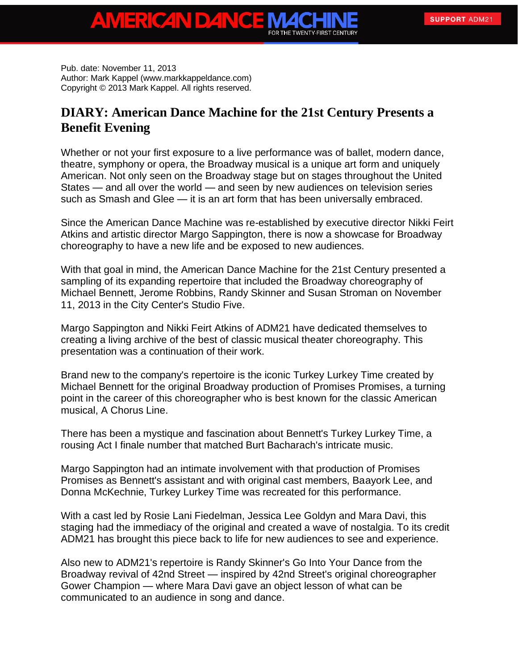Pub. date: November 11, 2013 Author: Mark Kappel (www.markkappeldance.com) Copyright © 2013 Mark Kappel. All rights reserved.

ERICAN DAI

## **DIARY: American Dance Machine for the 21st Century Presents a Benefit Evening**

Whether or not your first exposure to a live performance was of ballet, modern dance, theatre, symphony or opera, the Broadway musical is a unique art form and uniquely American. Not only seen on the Broadway stage but on stages throughout the United States — and all over the world — and seen by new audiences on television series such as Smash and Glee — it is an art form that has been universally embraced.

Since the American Dance Machine was re-established by executive director Nikki Feirt Atkins and artistic director Margo Sappington, there is now a showcase for Broadway choreography to have a new life and be exposed to new audiences.

With that goal in mind, the American Dance Machine for the 21st Century presented a sampling of its expanding repertoire that included the Broadway choreography of Michael Bennett, Jerome Robbins, Randy Skinner and Susan Stroman on November 11, 2013 in the City Center's Studio Five.

Margo Sappington and Nikki Feirt Atkins of ADM21 have dedicated themselves to creating a living archive of the best of classic musical theater choreography. This presentation was a continuation of their work.

Brand new to the company's repertoire is the iconic Turkey Lurkey Time created by Michael Bennett for the original Broadway production of Promises Promises, a turning point in the career of this choreographer who is best known for the classic American musical, A Chorus Line.

There has been a mystique and fascination about Bennett's Turkey Lurkey Time, a rousing Act I finale number that matched Burt Bacharach's intricate music.

Margo Sappington had an intimate involvement with that production of Promises Promises as Bennett's assistant and with original cast members, Baayork Lee, and Donna McKechnie, Turkey Lurkey Time was recreated for this performance.

With a cast led by Rosie Lani Fiedelman, Jessica Lee Goldyn and Mara Davi, this staging had the immediacy of the original and created a wave of nostalgia. To its credit ADM21 has brought this piece back to life for new audiences to see and experience.

Also new to ADM21's repertoire is Randy Skinner's Go Into Your Dance from the Broadway revival of 42nd Street — inspired by 42nd Street's original choreographer Gower Champion — where Mara Davi gave an object lesson of what can be communicated to an audience in song and dance.